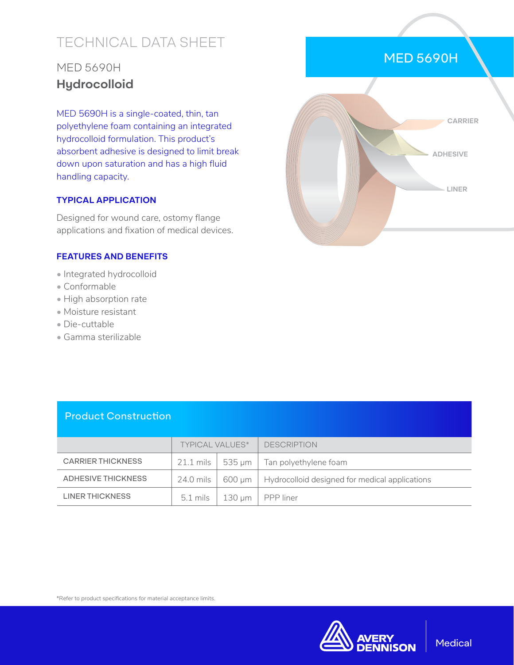# TECHNICAL DATA SHEET

## MED 5690H **Hydrocolloid**

MED 5690H is a single-coated, thin, tan polyethylene foam containing an integrated hydrocolloid formulation. This product's absorbent adhesive is designed to limit break down upon saturation and has a high fluid handling capacity.

#### **TYPICAL APPLICATION**

Designed for wound care, ostomy flange applications and fixation of medical devices.

#### **FEATURES AND BENEFITS**

- Integrated hydrocolloid
- Conformable
- High absorption rate
- Moisture resistant
- Die-cuttable
- Gamma sterilizable



#### Product Construction

|                           | TYPICAL VALUES*             |          | <b>DESCRIPTION</b>                             |
|---------------------------|-----------------------------|----------|------------------------------------------------|
| <b>CARRIER THICKNESS</b>  | $21.1 \text{ miles}$ 535 µm |          | Tan polyethylene foam                          |
| <b>ADHESIVE THICKNESS</b> | $24.0$ mils $\parallel$     | 600 µm   | Hydrocolloid designed for medical applications |
| LINER THICKNESS           | 5.1 mils                    | 130 um 1 | PPP liner                                      |